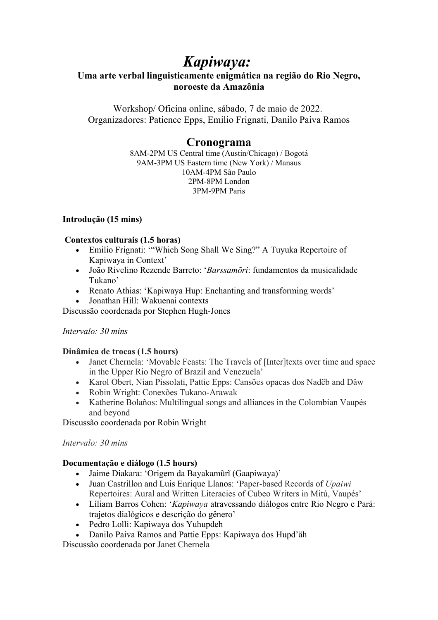# *Kapiwaya:*

## **Uma arte verbal linguisticamente enigmática na região do Rio Negro, noroeste da Amazônia**

Workshop/ Oficina online, sábado, 7 de maio de 2022. Organizadores: Patience Epps, Emilio Frignati, Danilo Paiva Ramos

## **Cronograma**

8AM-2PM US Central time (Austin/Chicago) / Bogotá 9AM-3PM US Eastern time (New York) / Manaus 10AM-4PM São Paulo 2PM-8PM London 3PM-9PM Paris

## **Introdução (15 mins)**

## **Contextos culturais (1.5 horas)**

- Emilio Frignati: '"Which Song Shall We Sing?" A Tuyuka Repertoire of Kapiwaya in Context'
- João Rivelino Rezende Barreto: '*Barssamõri*: fundamentos da musicalidade Tukano'
- Renato Athias: 'Kapiwaya Hup: Enchanting and transforming words'
- Jonathan Hill: Wakuenai contexts

Discussão coordenada por Stephen Hugh-Jones

## *Intervalo: 30 mins*

## **Dinâmica de trocas (1.5 hours)**

- Janet Chernela: 'Movable Feasts: The Travels of [Inter]texts over time and space in the Upper Rio Negro of Brazil and Venezuela'
- Karol Obert, Nian Pissolati, Pattie Epps: Cansões opacas dos Nadëb and Dâw
- Robin Wright: Conexões Tukano-Arawak
- Katherine Bolaños: Multilingual songs and alliances in the Colombian Vaupés and beyond

Discussão coordenada por Robin Wright

## *Intervalo: 30 mins*

## **Documentação e diálogo (1.5 hours)**

- Jaime Diakara: 'Origem da Bayakamũrĩ (Gaapiwaya)'
- Juan Castrillon and Luis Enrique Llanos: 'Paper-based Records of *Upaiwi* Repertoires: Aural and Written Literacies of Cubeo Writers in Mitú, Vaupés'
- Líliam Barros Cohen: '*Kapiwaya* atravessando diálogos entre Rio Negro e Pará: trajetos dialógicos e descrição do gênero'
- Pedro Lolli: Kapiwaya dos Yuhupdeh
- Danilo Paiva Ramos and Pattie Epps: Kapiwaya dos Hupd'äh

Discussão coordenada por Janet Chernela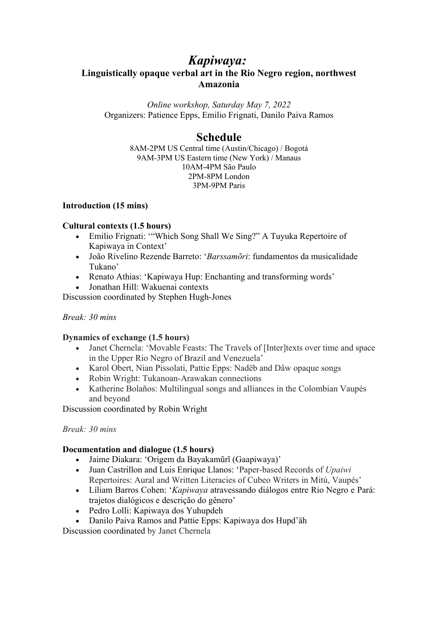## *Kapiwaya:*

## **Linguistically opaque verbal art in the Rio Negro region, northwest Amazonia**

*Online workshop, Saturday May 7, 2022* Organizers: Patience Epps, Emilio Frignati, Danilo Paiva Ramos

## **Schedule**

8AM-2PM US Central time (Austin/Chicago) / Bogotá 9AM-3PM US Eastern time (New York) / Manaus 10AM-4PM São Paulo 2PM-8PM London 3PM-9PM Paris

## **Introduction (15 mins)**

## **Cultural contexts (1.5 hours)**

- Emilio Frignati: "Which Song Shall We Sing?" A Tuyuka Repertoire of Kapiwaya in Context'
- João Rivelino Rezende Barreto: '*Barssamõri*: fundamentos da musicalidade Tukano'
- Renato Athias: 'Kapiwaya Hup: Enchanting and transforming words'
- Jonathan Hill: Wakuenai contexts

Discussion coordinated by Stephen Hugh-Jones

## *Break: 30 mins*

## **Dynamics of exchange (1.5 hours)**

- Janet Chernela: 'Movable Feasts: The Travels of [Inter]texts over time and space in the Upper Rio Negro of Brazil and Venezuela'
- Karol Obert, Nian Pissolati, Pattie Epps: Nadëb and Dâw opaque songs
- Robin Wright: Tukanoan-Arawakan connections
- Katherine Bolaños: Multilingual songs and alliances in the Colombian Vaupés and beyond

Discussion coordinated by Robin Wright

## *Break: 30 mins*

## **Documentation and dialogue (1.5 hours)**

- Jaime Diakara: 'Origem da Bayakamũrĩ (Gaapiwaya)'
- Juan Castrillon and Luis Enrique Llanos: 'Paper-based Records of *Upaiwi* Repertoires: Aural and Written Literacies of Cubeo Writers in Mitú, Vaupés'
- Líliam Barros Cohen: '*Kapiwaya* atravessando diálogos entre Rio Negro e Pará: trajetos dialógicos e descrição do gênero'
- Pedro Lolli: Kapiwaya dos Yuhupdeh
- Danilo Paiva Ramos and Pattie Epps: Kapiwaya dos Hupd'äh

Discussion coordinated by Janet Chernela